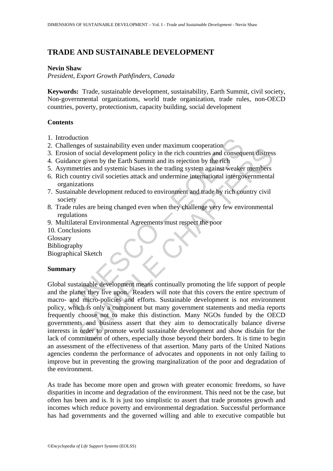# **TRADE AND SUSTAINABLE DEVELOPMENT**

### **Nevin Shaw**

*President, Export Growth Pathfinders, Canada* 

**Keywords:** Trade, sustainable development, sustainability, Earth Summit, civil society, Non-governmental organizations, world trade organization, trade rules, non-OECD countries, poverty, protectionism, capacity building, social development

### **Contents**

- 1. Introduction
- 2. Challenges of sustainability even under maximum cooperation
- 3. Erosion of social development policy in the rich countries and consequent distress
- 4. Guidance given by the Earth Summit and its rejection by the rich
- 5. Asymmetries and systemic biases in the trading system against weaker members
- 6. Rich country civil societies attack and undermine international intergovernmental organizations
- 7. Sustainable development reduced to environment and trade by rich country civil society
- 8. Trade rules are being changed even when they challenge very few environmental regulations
- 9. Multilateral Environmental Agreements must respect the poor
- 10. Conclusions Glossary Bibliography

Biographical Sketch

# **Summary**

duction<br>
elenges of sustainability even under maximum cooperation<br>
lenges of sustainability even under maximum cooperation<br>
ion of social development policy in the rich countries and consequence<br>
given by the Earth Summit Exercision sustainanomy vertificate in anximital conperent proferator.<br>
The rich contribution of social development policy in the rich contrise and consequent distresse given by the Earth Summit and its rejection by the ri Global sustainable development means continually promoting the life support of people and the planet they live upon. Readers will note that this covers the entire spectrum of macro- and micro-policies and efforts. Sustainable development is not environment policy, which is only a component but many government statements and media reports frequently choose not to make this distinction. Many NGOs funded by the OECD governments and business assert that they aim to democratically balance diverse interests in order to promote world sustainable development and show disdain for the lack of commitment of others, especially those beyond their borders. It is time to begin an assessment of the effectiveness of that assertion. Many parts of the United Nations agencies condemn the performance of advocates and opponents in not only failing to improve but in preventing the growing marginalization of the poor and degradation of the environment.

As trade has become more open and grown with greater economic freedoms, so have disparities in income and degradation of the environment. This need not be the case, but often has been and is. It is just too simplistic to assert that trade promotes growth and incomes which reduce poverty and environmental degradation. Successful performance has had governments and the governed willing and able to executive compatible but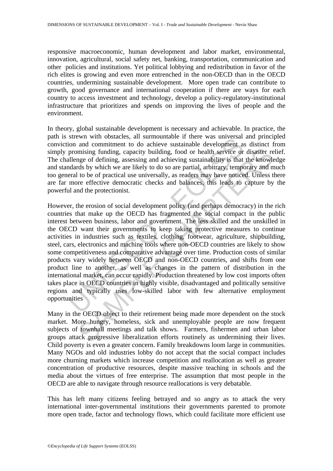responsive macroeconomic, human development and labor market, environmental, innovation, agricultural, social safety net, banking, transportation, communication and other policies and institutions. Yet political lobbying and redistribution in favor of the rich elites is growing and even more entrenched in the non-OECD than in the OECD countries, undermining sustainable development. More open trade can contribute to growth, good governance and international cooperation if there are ways for each country to access investment and technology, develop a policy-regulatory-institutional infrastructure that prioritizes and spends on improving the lives of people and the environment.

In theory, global sustainable development is necessary and achievable. In practice, the path is strewn with obstacles, all surmountable if there was universal and principled conviction and commitment to do achieve sustainable development as distinct from simply promising funding, capacity building, food or health service or disaster relief. The challenge of defining, assessing and achieving sustainability is that the knowledge and standards by which we are likely to do so are partial, arbitrary, temporary and much too general to be of practical use universally, as readers may have noticed. Unless there are far more effective democratic checks and balances, this leads to capture by the powerful and the protectionist.

suewe will considered. an summonination in line was universar<br>in an commitment to do achieve sustainable development as<br>promising funding, capacity building, food or health service or<br>allenge of defining, assessing and ach mising funding, capacity building, food or health service or disaster reage of defining, assessing and achieving sustainability is that the knowled by which we are likely to do so are partial, arbitrary, temporary and meth However, the erosion of social development policy (and perhaps democracy) in the rich countries that make up the OECD has fragmented the social compact in the public interest between business, labor and government. The less skilled and the unskilled in the OECD want their governments to keep taking protective measures to continue activities in industries such as textiles, clothing, footwear, agriculture, shipbuilding, steel, cars, electronics and machine tools where non-OECD countries are likely to show some competitiveness and comparative advantage over time. Production costs of similar products vary widely between OECD and non-OECD countries, and shifts from one product line to another, as well as changes in the pattern of distribution in the international market, can occur rapidly. Production threatened by low cost imports often takes place in OECD countries in highly visible, disadvantaged and politically sensitive regions and typically uses low-skilled labor with few alternative employment opportunities

Many in the OECD object to their retirement being made more dependent on the stock market. More hungry, homeless, sick and unemployable people are now frequent subjects of townhall meetings and talk shows. Farmers, fishermen and urban labor groups attack progressive liberalization efforts routinely as undermining their lives. Child poverty is even a greater concern. Family breakdowns loom large in communities. Many NGOs and old industries lobby do not accept that the social compact includes more churning markets which increase competition and reallocation as well as greater concentration of productive resources, despite massive teaching in schools and the media about the virtues of free enterprise. The assumption that most people in the OECD are able to navigate through resource reallocations is very debatable.

This has left many citizens feeling betrayed and so angry as to attack the very international inter-governmental institutions their governments parented to promote more open trade, factor and technology flows, which could facilitate more efficient use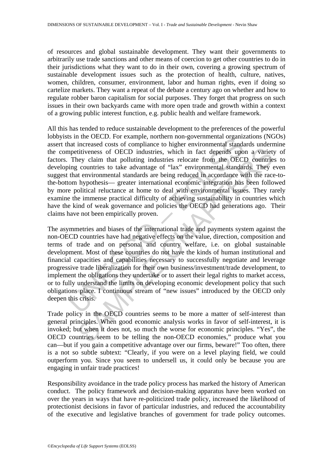of resources and global sustainable development. They want their governments to arbitrarily use trade sanctions and other means of coercion to get other countries to do in their jurisdictions what they want to do in their own, covering a growing spectrum of sustainable development issues such as the protection of health, culture, natives, women, children, consumer, environment, labor and human rights, even if doing so cartelize markets. They want a repeat of the debate a century ago on whether and how to regulate robber baron capitalism for social purposes. They forget that progress on such issues in their own backyards came with more open trade and growth within a context of a growing public interest function, e.g. public health and welfare framework.

is in the OECD, For example, notinent inter-governmental organization<br>and interessed costs of compliance to higher environmental standa<br>metitiveness of OECD industries, which in fact depends upo<br>They claim that polluting i All this has tended to reduce sustainable development to the preferences of the powerful lobbyists in the OECD. For example, northern non-governmental organizations (NGOs) assert that increased costs of compliance to higher environmental standards undermine the competitiveness of OECD industries, which in fact depends upon a variety of factors. They claim that polluting industries relocate from the OECD countries to developing countries to take advantage of "lax" environmental standards. They even suggest that environmental standards are being reduced in accordance with the race-tothe-bottom hypothesis— greater international economic integration has been followed by more political reluctance at home to deal with environmental issues. They rarely examine the immense practical difficulty of achieving sustainability in countries which have the kind of weak governance and policies the OECD had generations ago. Their claims have not been empirically proven.

titiveness of OECD industries, which in fact depends upon a variety claim that polluting industries which in fact depends upon a variety claim that polluting industries relocate from the OECD countries to countries to take The asymmetries and biases of the international trade and payments system against the non-OECD countries have had negative effects on the value, direction, composition and terms of trade and on personal and country welfare, i.e. on global sustainable development. Most of these countries do not have the kinds of human institutional and financial capacities and capabilities necessary to successfully negotiate and leverage progressive trade liberalization for their own business/investment/trade development, to implement the obligations they undertake or to assert their legal rights to market access, or to fully understand the limits on developing economic development policy that such obligations place. I continuous stream of "new issues" introduced by the OECD only deepen this crisis.

Trade policy in the OECD countries seems to be more a matter of self-interest than general principles. When good economic analysis works in favor of self-interest, it is invoked; but when it does not, so much the worse for economic principles. "Yes", the OECD countries seem to be telling the non-OECD economies," produce what you can—but if you gain a competitive advantage over our firms, beware!" Too often, there is a not so subtle subtext: "Clearly, if you were on a level playing field, we could outperform you. Since you seem to undersell us, it could only be because you are engaging in unfair trade practices!

Responsibility avoidance in the trade policy process has marked the history of American conduct. The policy framework and decision-making apparatus have been worked on over the years in ways that have re-politicized trade policy, increased the likelihood of protectionist decisions in favor of particular industries, and reduced the accountability of the executive and legislative branches of government for trade policy outcomes.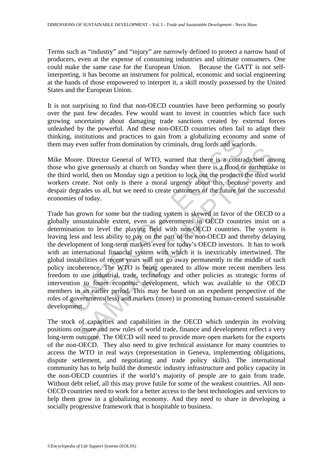Terms such as "industry" and "injury" are narrowly defined to protect a narrow band of producers, even at the expense of consuming industries and ultimate consumers. One could make the same case for the European Union. Because the GATT is not selfinterpreting, it has become an instrument for political, economic and social engineering at the hands of those empowered to interpret it, a skill mostly possessed by the United States and the European Union.

It is not surprising to find that non-OECD countries have been performing so poorly over the past few decades. Few would want to invest in countries which face such growing uncertainty about damaging trade sanctions created by external forces unleashed by the powerful. And these non-OECD countries often fail to adapt their thinking, institutions and practices to gain from a globalizing economy and some of them may even suffer from domination by criminals, drug lords and warlords.

Mike Moore. Director General of WTO, warned that there is a contradiction among those who give generously at church on Sunday when there is a flood or earthquake in the third world, then on Monday sign a petition to lock out the products the third world workers create. Not only is there a moral urgency about this, because poverty and despair degrades us all, but we need to create customers of the future for the successful economies of today.

g, institutions and practices to gain from a globalizing economic<br>ay even suffer from domination by criminals, drug lords and warle<br>floore. Director General of WTO, warned that there is a contra<br>ho give generously at churc The Director General of WTO, warned that there is a contradiction any<br>give generative scheme of WTO, warned that there is a contradiction any<br>give generative) at church on Sunday when there is a flood or earthquak<br>chad, th Trade has grown for some but the trading system is skewed in favor of the OECD to a globally unsustainable extent, even as governments in OECD countries insist on a determination to level the playing field with non-OECD countries. The system is leaving less and less ability to pay on the part of the non-OECD and thereby delaying the development of long-term markets even for today's OECD investors. It has to work with an international financial system with which it is inextricably intertwined. The global instabilities of recent years will not go away permanently in the middle of such policy incoherence. The WTO is being operated to allow more recent members less freedom to use industrial, trade, technology and other policies as strategic forms of intervention to foster economic development, which was available to the OECD members in an earlier period. This may be based on an expedient perspective of the roles of governments(less) and markets (more) in promoting human-centerd sustainable development.

The stock of capacities and capabilities in the OECD which underpin its evolving positions on more and new rules of world trade, finance and development reflect a very long-term outcome. The OECD will need to provide more open markets for the exports of the non-OECD. They also need to give technical assistance for many countries to access the WTO in real ways (representation in Geneva, implementing obligations, dispute settlement, and negotiating and trade policy skills). The international community has to help build the domestic industry infrastructure and policy capacity in the non-OECD countries if the world's majority of people are to gain from trade. Without debt relief, all this may prove futile for some of the weakest countries. All non-OECD countries need to work for a better access to the best technologies and services to help them grow in a globalizing economy. And they need to share in developing a socially progressive framework that is hospitable to business.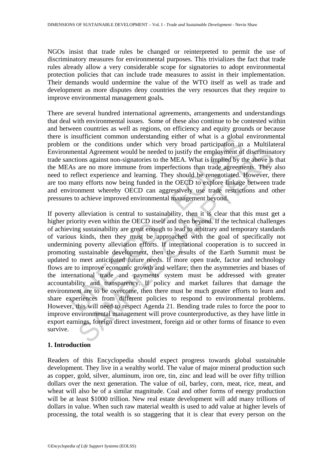NGOs insist that trade rules be changed or reinterpreted to permit the use of discriminatory measures for environmental purposes. This trivializes the fact that trade rules already allow a very considerable scope for signatories to adopt environmental protection policies that can include trade measures to assist in their implementation. Their demands would undermine the value of the WTO itself as well as trade and development as more disputes deny countries the very resources that they require to improve environmental management goals**.** 

There are several hundred international agreements, arrangements and understandings that deal with environmental issues. Some of these also continue to be contested within and between countries as well as regions, on efficiency and equity grounds or because there is insufficient common understanding either of what is a global environmental problem or the conditions under which very broad participation in a Multilateral Environmental Agreement would be needed to justify the employment of discriminatory trade sanctions against non-signatories to the MEA. What is implied by the above is that the MEAs are no more immune from imperfections than trade agreements. They also need to reflect experience and learning. They should be renegotiated. However, there are too many efforts now being funded in the OECD to explore linkage between trade and environment whereby OECD can aggressively use trade restrictions and other pressures to achieve improved environmental management beyond.

INSURGED TO Wat is a glood of solution in the conditions under which a real of the conditions under which very broad participation in mental Agreement would be needed to justify the employment of nctions against non-signat In all Agreement would be needed to justify the employment of discriminations against non-signatories to the MEA. What is implied by the above is are no more immune from imperfections than trade agreements. They the experi If poverty alleviation is central to sustainability, then it is clear that this must get a higher priority even within the OECD itself and then beyond. If the technical challenges of achieving sustainability are great enough to lead to arbitrary and temporary standards of various kinds, then they must be approached with the goal of specifically not undermining poverty alleviation efforts. If international cooperation is to succeed in promoting sustainable development, then the results of the Earth Summit must be updated to meet anticipated future needs. If more open trade, factor and technology flows are to improve economic growth and welfare; then the asymmetries and biases of the international trade and payments system must be addressed with greater accountability and transparency. If policy and market failures that damage the environment are to be overcome, then there must be much greater efforts to learn and share experiences from different policies to respond to environmental problems. However, this will need to respect Agenda 21. Bending trade rules to force the poor to improve environmental management will prove counterproductive, as they have little in export earnings, foreign direct investment, foreign aid or other forms of finance to even survive.

# **1. Introduction**

Readers of this Encyclopedia should expect progress towards global sustainable development. They live in a wealthy world. The value of major mineral production such as copper, gold, silver, aluminum, iron ore, tin, zinc and lead will be over fifty trillion dollars over the next generation. The value of oil, barley, corn, meat, rice, meat, and wheat will also be of a similar magnitude. Coal and other forms of energy production will be at least \$1000 trillion. New real estate development will add many trillions of dollars in value. When such raw material wealth is used to add value at higher levels of processing, the total wealth is so staggering that it is clear that every person on the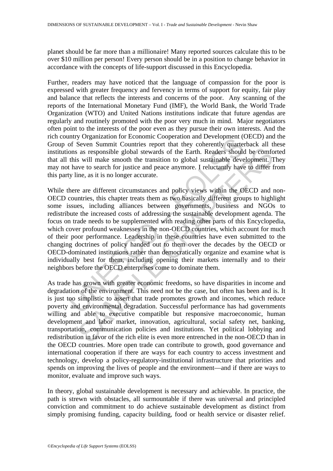planet should be far more than a millionaire! Many reported sources calculate this to be over \$10 million per person! Every person should be in a position to change behavior in accordance with the concepts of life-support discussed in this Encyclopedia.

Further, readers may have noticed that the language of compassion for the poor is expressed with greater frequency and fervency in terms of support for equity, fair play and balance that reflects the interests and concerns of the poor. Any scanning of the reports of the International Monetary Fund (IMF), the World Bank, the World Trade Organization (WTO) and United Nations institutions indicate that future agendas are regularly and routinely promoted with the poor very much in mind. Major negotiators often point to the interests of the poor even as they pursue their own interests. And the rich country Organization for Economic Cooperation and Development (OECD) and the Group of Seven Summit Countries report that they coherently quarterback all these institutions as responsible global stewards of the Earth. Readers should be comforted that all this will make smooth the transition to global sustainable development. They may not have to search for justice and peace anymore. I reluctantly have to differ from this party line, as it is no longer accurate.

muny organization in Ecolomic Coperation and Development (operation and Development (Speed Summit Countries report that they coherently quarted ons as responsible global stewards of the Earth. Readers should this will make as as responsible global stewards of the Earth. Readers should be confided will make smooth the transition to global sustainable development. The two cosarch for justice and peace anymore. I reluctantly have to differ fine While there are different circumstances and policy views within the OECD and non-OECD countries, this chapter treats them as two basically different groups to highlight some issues, including alliances between governments, business and NGOs to redistribute the increased costs of addressing the sustainable development agenda. The focus on trade needs to be supplemented with reading other parts of this Encyclopedia, which cover profound weaknesses in the non-OECD countries, which account for much of their poor performance. Leadership in these countries have even submitted to the changing doctrines of policy handed out to them over the decades by the OECD or OECD-dominated institutions rather than democratically organize and examine what is individually best for them, including opening their markets internally and to their neighbors before the OECD enterprises come to dominate them.

As trade has grown with greater economic freedoms, so have disparities in income and degradation of the environment. This need not be the case, but often has been and is. It is just too simplistic to assert that trade promotes growth and incomes, which reduce poverty and environmental degradation. Successful performance has had governments willing and able to executive compatible but responsive macroeconomic, human development and labor market, innovation, agricultural, social safety net, banking, transportation, communication policies and institutions. Yet political lobbying and redistribution in favor of the rich elite is even more entrenched in the non-OECD than in the OECD countries. More open trade can contribute to growth, good governance and international cooperation if there are ways for each country to access investment and technology, develop a policy-regulatory-institutional infrastructure that priorities and spends on improving the lives of people and the environment—and if there are ways to monitor, evaluate and improve such ways.

In theory, global sustainable development is necessary and achievable. In practice, the path is strewn with obstacles, all surmountable if there was universal and principled conviction and commitment to do achieve sustainable development as distinct from simply promising funding, capacity building, food or health service or disaster relief.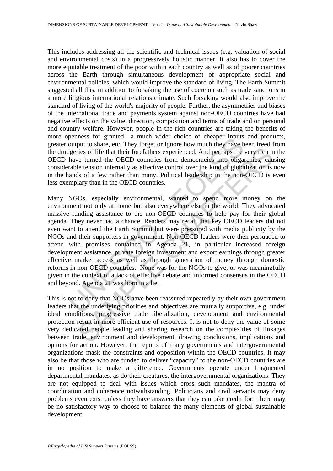This includes addressing all the scientific and technical issues (e.g. valuation of social and environmental costs) in a progressively holistic manner. It also has to cover the more equitable treatment of the poor within each country as well as of poorer countries across the Earth through simultaneous development of appropriate social and environmental policies, which would improve the standard of living. The Earth Summit suggested all this, in addition to forsaking the use of coercion such as trade sanctions in a more litigious international relations climate. Such forsaking would also improve the standard of living of the world's majority of people. Further, the asymmetries and biases of the international trade and payments system against non-OECD countries have had negative effects on the value, direction, composition and terms of trade and on personal and country welfare. However, people in the rich countries are taking the benefits of more openness for granted—a much wider choice of cheaper inputs and products, greater output to share, etc. They forget or ignore how much they have been freed from the drudgeries of life that their forefathers experienced. And perhaps the very rich in the OECD have turned the OECD countries from democracies into oligarchies, causing considerable tension internally as effective control over the kind of globalization is now in the hands of a few rather than many. Political leadership in the non-OECD is even less exemplary than in the OECD countries.

penness tor ganneud—a nucli wure cure of cuesper impouss<br>output to share, etc. They forget or ignore how much they have be<br>digeries of life that their forefathers experienced. And perhaps the<br>layeries of life that their fo First of life that their forefathers experienced. And perhaps the very rich in<br>the centure of life that their forefathers experienced. And perhaps the very rich in<br>the tote turned the OECD countries from democracies into o Many NGOs, especially environmental, wanted to spend more money on the environment not only at home but also everywhere else in the world. They advocated massive funding assistance to the non-OECD countries to help pay for their global agenda. They never had a chance. Readers may recall that key OECD leaders did not even want to attend the Earth Summit but were pressured with media publicity by the NGOs and their supporters in government. Non-OECD leaders were then persuaded to attend with promises contained in Agenda 21, in particular increased foreign development assistance, private foreign investment and export earnings through greater effective market access as well as through generation of money through domestic reforms in non-OECD countries. None was for the NGOs to give, or was meaningfully given in the context of a lack of effective debate and informed consensus in the OECD and beyond. Agenda 21 was born in a lie.

This is not to deny that NGOs have been reassured repeatedly by their own government leaders that the underlying priorities and objectives are mutually supportive, e.g. under ideal conditions, progressive trade liberalization, development and environmental protection result in more efficient use of resources. It is not to deny the value of some very dedicated people leading and sharing research on the complexities of linkages between trade, environment and development, drawing conclusions, implications and options for action. However, the reports of many governments and intergovernmental organizations mask the constraints and opposition within the OECD countries. It may also be that those who are funded to deliver "capacity" to the non-OECD countries are in no position to make a difference. Governments operate under fragmented departmental mandates, as do their creatures, the intergovernmental organizations. They are not equipped to deal with issues which cross such mandates, the mantra of coordination and coherence notwithstanding. Politicians and civil servants may deny problems even exist unless they have answers that they can take credit for. There may be no satisfactory way to choose to balance the many elements of global sustainable development.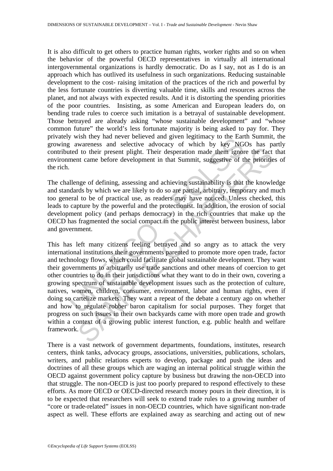It is also difficult to get others to practice human rights, worker rights and so on when the behavior of the powerful OECD representatives in virtually all international intergovernmental organizations is hardly democratic. Do as I say, not as I do is an approach which has outlived its usefulness in such organizations. Reducing sustainable development to the cost- raising imitation of the practices of the rich and powerful by the less fortunate countries is diverting valuable time, skills and resources across the planet, and not always with expected results. And it is distorting the spending priorities of the poor countries. Insisting, as some American and European leaders do, on bending trade rules to coerce such imitation is a betrayal of sustainable development. Those betrayed are already asking "whose sustainable development" and "whose common future" the world's less fortunate majority is being asked to pay for. They privately wish they had never believed and given legitimacy to the Earth Summit, the growing awareness and selective advocacy of which by key NGOs has partly contributed to their present plight. Their desperation made them ignore the fact that environment came before development in that Summit, suggestive of the priorities of the rich.

The challenge of defining, assessing and achieving sustainability is that the knowledge and standards by which we are likely to do so are partial, arbitrary, temporary and much too general to be of practical use, as readers may have noticed. Unless checked, this leads to capture by the powerful and the protectionist. In addition, the erosion of social development policy (and perhaps democracy) in the rich countries that make up the OECD has fragmented the social compact in the public interest between business, labor and government.

y which they had never between and given regitancy to the Car<br>g awareness and selective alwocacy of which by key NG<br>direct to their present plight. Their desperation made them ignor-<br>ment came before development in that Su 11 to their present plight. Their desperation made them ignore the fact at a to their present plight. Their desperation made them ignore the fact at a can be development in that Summit, suggestive of the priorities are the This has left many citizens feeling betrayed and so angry as to attack the very international institutions their governments parented to promote more open trade, factor and technology flows, which could facilitate global sustainable development. They want their governments to arbitrarily use trade sanctions and other means of coercion to get other countries to do in their jurisdictions what they want to do in their own, covering a growing spectrum of sustainable development issues such as the protection of culture, natives, women, children, consumer, environment, labor and human rights, even if doing so cartelize markets. They want a repeat of the debate a century ago on whether and how to regulate robber baron capitalism for social purposes. They forget that progress on such issues in their own backyards came with more open trade and growth within a context of a growing public interest function, e.g. public health and welfare framework.

There is a vast network of government departments, foundations, institutes, research centers, think tanks, advocacy groups, associations, universities, publications, scholars, writers, and public relations experts to develop, package and push the ideas and doctrines of all these groups which are waging an internal political struggle within the OECD against government policy capture by business but drawing the non-OECD into that struggle. The non-OECD is just too poorly prepared to respond effectively to these efforts. As more OECD or OECD-directed research money pours in their direction, it is to be expected that researchers will seek to extend trade rules to a growing number of "core or trade-related" issues in non-OECD countries, which have significant non-trade aspect as well. These efforts are explained away as searching and acting out of new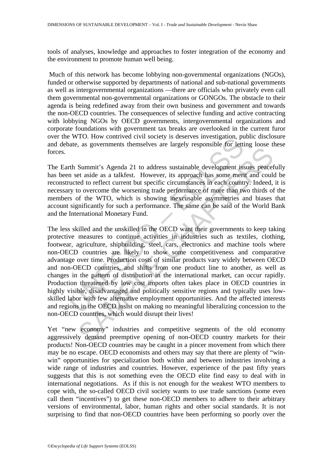tools of analyses, knowledge and approaches to foster integration of the economy and the environment to promote human well being.

 Much of this network has become lobbying non-governmental organizations (NGOs), funded or otherwise supported by departments of national and sub-national governments as well as intergovernmental organizations —there are officials who privately even call them governmental non-governmental organizations or GONGOs. The obstacle to their agenda is being redefined away from their own business and government and towards the non-OECD countries. The consequences of selective funding and active contracting with lobbying NGOs by OECD governments, intergovernmental organizations and corporate foundations with government tax breaks are overlooked in the current furor over the WTO. How contrived civil society is deserves investigation, public disclosure and debate, as governments themselves are largely responsible for letting loose these forces.

The Earth Summit's Agenda 21 to address sustainable development issues peacefully has been set aside as a talkfest. However, its approach has some merit and could be reconstructed to reflect current but specific circumstances in each country. Indeed, it is necessary to overcome the worsening trade performance of more than two thirds of the members of the WTO, which is showing inexcusable asymmetries and biases that account significantly for such a performance. The same can be said of the World Bank and the International Monetary Fund.

EVALUATE TO CONTROLLATE TO the alternational method of the alternation in the OBC mission of the alternation of the alternation of the alternation of the alternation of the wrote of the wrote of the wrote of the wrote of t Summit's Agenda 21 to address sustainable development issues peace<br>
Summit's Agenda 21 to address sustainable development issues peace<br>
et aside as a talkfest. However, its approach has some merit and could<br>
co o overcome The less skilled and the unskilled in the OECD want their governments to keep taking protective measures to continue activities in industries such as textiles, clothing, footwear, agriculture, shipbuilding, steel, cars, electronics and machine tools where non-OECD countries are likely to show some competitiveness and comparative advantage over time. Production costs of similar products vary widely between OECD and non-OECD countries, and shifts from one product line to another, as well as changes in the pattern of distribution in the international market, can occur rapidly. Production threatened by low cost imports often takes place in OECD countries in highly visible, disadvantaged and politically sensitive regions and typically uses lowskilled labor with few alternative employment opportunities. And the affected interests and regions in the OECD insist on making no meaningful liberalizing concession to the non-OECD countries, which would disrupt their lives!

Yet "new economy" industries and competitive segments of the old economy aggressively demand preemptive opening of non-OECD country markets for their products! Non-OECD countries may be caught in a pincer movement from which there may be no escape. OECD economists and others may say that there are plenty of "winwin" opportunities for specialization both within and between industries involving a wide range of industries and countries. However, experience of the past fifty years suggests that this is not something even the OECD elite find easy to deal with in international negotiations. As if this is not enough for the weakest WTO members to cope with, the so-called OECD civil society wants to use trade sanctions (some even call them "incentives") to get these non-OECD members to adhere to their arbitrary versions of environmental, labor, human rights and other social standards. It is not surprising to find that non-OECD countries have been performing so poorly over the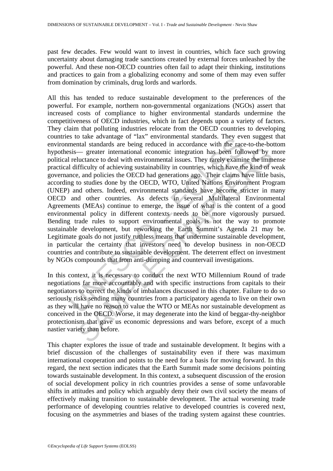past few decades. Few would want to invest in countries, which face such growing uncertainty about damaging trade sanctions created by external forces unleashed by the powerful. And these non-OECD countries often fail to adapt their thinking, institutions and practices to gain from a globalizing economy and some of them may even suffer from domination by criminals, drug lords and warlords.

So to a divaling of a dix environmental standards. They even the<br>mental standards are being reduced in accordance with the racessis—<br>greater international economic integration has been folle<br>leluctance to deal with environ — greater international economic integration has been followed by nuctance to deal with environmental issues. They rarely examine the timely fifciculty of achieving sustainability in countries, which have the kind of two s All this has tended to reduce sustainable development to the preferences of the powerful. For example, northern non-governmental organizations (NGOs) assert that increased costs of compliance to higher environmental standards undermine the competitiveness of OECD industries, which in fact depends upon a variety of factors. They claim that polluting industries relocate from the OECD countries to developing countries to take advantage of "lax" environmental standards. They even suggest that environmental standards are being reduced in accordance with the race-to-the-bottom hypothesis— greater international economic integration has been followed by more political reluctance to deal with environmental issues. They rarely examine the immense practical difficulty of achieving sustainability in countries, which have the kind of weak governance, and policies the OECD had generations ago. Their claims have little basis, according to studies done by the OECD, WTO, United Nations Environment Program (UNEP) and others. Indeed, environmental standards have become stricter in many OECD and other countries. As defects in several Multilateral Environmental Agreements (MEAs) continue to emerge, the issue of what is the content of a good environmental policy in different contexts needs to be more vigorously pursued. Bending trade rules to support environmental goals is not the way to promote sustainable development, but reworking the Earth Summit's Agenda 21 may be. Legitimate goals do not justify ruthless means that undermine sustainable development, in particular the certainty that investors need to develop business in non-OECD countries and contribute to sustainable development. The deterrent effect on investment by NGOs compounds that from anti-dumping and countervail investigations.

In this context, it is necessary to conduct the next WTO Millennium Round of trade negotiations far more accountably and with specific instructions from capitals to their negotiators to correct the kinds of imbalances discussed in this chapter. Failure to do so seriously risks sending many countries from a participatory agenda to live on their own as they will have no reason to value the WTO or MEAs nor sustainable development as conceived in the OECD. Worse, it may degenerate into the kind of beggar-thy-neighbor protectionism that gave us economic depressions and wars before, except of a much nastier variety than before.

This chapter explores the issue of trade and sustainable development. It begins with a brief discussion of the challenges of sustainability even if there was maximum international cooperation and points to the need for a basis for moving forward. In this regard, the next section indicates that the Earth Summit made some decisions pointing towards sustainable development. In this context, a subsequent discussion of the erosion of social development policy in rich countries provides a sense of some unfavorable shifts in attitudes and policy which arguably deny their own civil society the means of effectively making transition to sustainable development. The actual worsening trade performance of developing countries relative to developed countries is covered next, focusing on the asymmetries and biases of the trading system against these countries.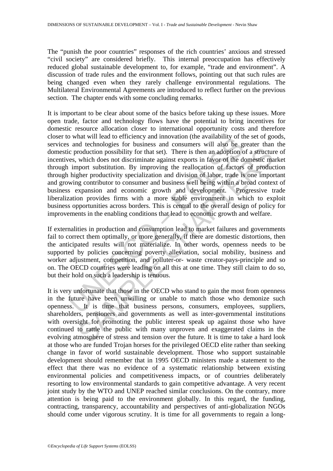The "punish the poor countries" responses of the rich countries' anxious and stressed "civil society" are considered briefly. This internal preoccupation has effectively reduced global sustainable development to, for example, "trade and environment". A discussion of trade rules and the environment follows, pointing out that such rules are being changed even when they rarely challenge environmental regulations. The Multilateral Environmental Agreements are introduced to reflect further on the previous section. The chapter ends with some concluding remarks.

what will east contribute and movation (the avatabouty of the same of endanced the same of endance and echnologies for business and consumers will also be g c production possibility for that set). There is then an adoption roduction possibility for that set). There is then an adoption of a structure which does not discriminate against exports in favor of the domestic mapper substitution. By improving the reallocation of factors of productivi It is important to be clear about some of the basics before taking up these issues. More open trade, factor and technology flows have the potential to bring incentives for domestic resource allocation closer to international opportunity costs and therefore closer to what will lead to efficiency and innovation (the availability of the set of goods, services and technologies for business and consumers will also be greater than the domestic production possibility for that set). There is then an adoption of a structure of incentives, which does not discriminate against exports in favor of the domestic market through import substitution. By improving the reallocation of factors of production through higher productivity specialization and division of labor, trade is one important and growing contributor to consumer and business well being within a broad context of business expansion and economic growth and development. Progressive trade liberalization provides firms with a more stable environment in which to exploit business opportunities across borders. This is central to the overall design of policy for improvements in the enabling conditions that lead to economic growth and welfare.

If externalities in production and consumption lead to market failures and governments fail to correct them optimally, or more generally, if there are domestic distortions, then the anticipated results will not materialize. In other words, openness needs to be supported by policies concerning poverty alleviation, social mobility, business and worker adjustment, competition, and polluter-or- waste creator-pays-principle and so on. The OECD countries were leading on all this at one time. They still claim to do so, but their hold on such a leadership is tenuous.

It is very unfortunate that those in the OECD who stand to gain the most from openness in the future have been unwilling or unable to match those who demonize such openness. It is time that business persons, consumers, employees, suppliers, shareholders, pensioners and governments as well as inter-governmental institutions with oversight for promoting the public interest speak up against those who have continued to rattle the public with many unproven and exaggerated claims in the evolving atmosphere of stress and tension over the future. It is time to take a hard look at those who are funded Trojan horses for the privileged OECD elite rather than seeking change in favor of world sustainable development. Those who support sustainable development should remember that in 1995 OECD ministers made a statement to the effect that there was no evidence of a systematic relationship between existing environmental policies and competitiveness impacts, or of countries deliberately resorting to low environmental standards to gain competitive advantage. A very recent joint study by the WTO and UNEP reached similar conclusions. On the contrary, more attention is being paid to the environment globally. In this regard, the funding, contracting, transparency, accountability and perspectives of anti-globalization NGOs should come under vigorous scrutiny. It is time for all governments to regain a long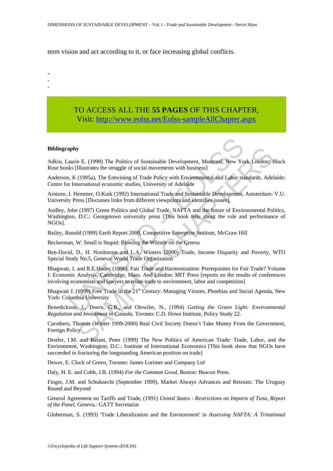term vision and act according to it, or face increasing global conflicts.

- - -

> TO ACCESS ALL THE **55 PAGES** OF THIS CHAPTER, Visit: [http://www.eolss.net/Eolss-sampleAllChapter.aspx](https://www.eolss.net/ebooklib/sc_cart.aspx?File=E1-46B-08-00)

#### **Bibliography**

Adkin, Laurie E. (1998) The Politics of Sustainable Development, Montreal, New York London: Black Rose books [Illustrates the struggle of social movements with business]

Anderson, K (1995a), The Entwining of Trade Policy with Environmental and Labor standards, Adelaide: Centre for International economic studies, University of Adelaide

Arntzen, I. Hemmer, O.Kuik (1992) International Trade and Sustainable Development, Amsterdam: V.U. University Press [Discusses links from different viewpoints and identifies issues].

**apply**<br>
apply<br>
aurie E. (1998) The Politics of Sustainable Development, Montreal, New Yo<br>
ks [Illustrates the struggle of social movements with business]<br>
1, K (1995a), The Entwining of Trade Policy with Environmental an **SCONDIGE TO EXECT THEOTE CONSULTERT WARD INTO THE CONDENTIFY (1998). The Entryining of Trade Policy with Environmental and Labor standards, Adel (1995a). The Entryining of Trade Policy with Environmental and Labor standar** Audley, John (1997) Green Politics and Global Trade, NAFTA and the future of Environmental Politics, Washington, D.C.: Georgetown university press [This book tells about the role and performance of NGOs].

Bailey, Ronald (1999) Earth Report 2000, Competitive Enterprise Institute, McGraw Hill

Beckerman, W. Small is Stupid: Blowing the Whistle on the Greens

Ben-David, D., H. Nordstrom and L.A. Winters (2000) Trade, Income Disparity and Poverty, WTO Special Study No.5, Geneva: World Trade Organization

Bhagwati, J. and R.E.Hudec (1996), Fair Trade and Harmonization: Prerequisites for Fair Trade? Volume I: Economic Analysis, Cambridge, Mass. And London: MIT Press [reports on the results of conferences involving economists and lawyers to relate trade to environment, labor and competition]

Bhagwati J. (1999) Free Trade in the 21<sup>st</sup> Century: Managing Viruses, Phoebias and Social Agenda, New York: Columbia University

Benedickson, J., Doern, G.B., and Olewiler, N., (1994) *Getting the Green Light: Environmental Regulation and Investment in Canada*, Toronto: C.D. Howe Institute, Policy Study 22.

Carothers, Thomas (Winter 1999-2000) Real Civil Society Doesn't Take Money From the Government, Foreign Policy

Destler, I.M. and Balant, Peter (1999) The New Politics of American Trade: Trade, Labor, and the Environment, Washington, D.C.: Institute of International Economics [This book show that NGOs have succeeded in fracturing the longstanding American position on trade]

Dewer, E. Clock of Green, Toronto: James Lorimer and Company Ltd

Daly, H. E. and Cobb, J.B. (1994) *For the Common Good*, Boston: Beacon Press.

Finger, J.M. and Schuknecht (September 1999), Market Always Advances and Retreats: The Uruguay Round and Beyond

General Agreement on Tariffs and Trade, (1991) *United States - Restrictions on Imports of Tuna, Report of the Panel*, Geneva.: GATT Secretariat

Globerman, S. (1993) 'Trade Liberalization and the Environment' in *Assessing NAFTA: A Trinational*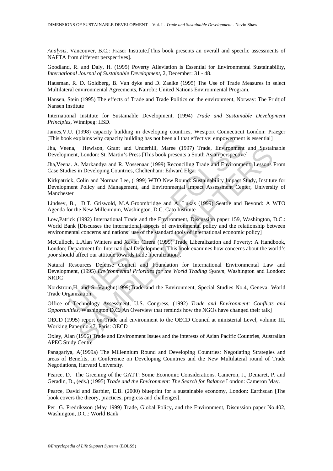*Analysis*, Vancouver, B.C.: Fraser Institute.[This book presents an overall and specific assessments of NAFTA from different perspectives].

Goodland, R. and Daly, H. (1995) Poverty Alleviation is Essential for Environmental Sustainability, *International Journal of Sustainable Development*, 2, December: 31 - 48.

Hausman, R. D. Goldberg, B. Van dyke and D. Zaelke (1995) The Use of Trade Measures in select Multilateral environmental Agreements, Nairobi: United Nations Environmental Program.

Hansen, Stein (1995) The effects of Trade and Trade Politics on the environment, Norway: The Fridtjof Nansen Institute

International Institute for Sustainable Development, (1994) *Trade and Sustainable Development Principles*, Winnipeg: IISD.

James,V.U. (1998) capacity building in developing countries, Westport Connecticut London: Praeger [This book explains why capacity building has not been all that effective: empowerment is essential]

Jha, Veena, Hewison, Grant and Underhill, Maree (1997) Trade, Environment and Sustainable Development, London: St. Martin's Press [This book presents a South Asian perspective]

Jha,Veena. A. Markandya and R. Vossenaar (1999) Reconciling Trade and Environment: Lessons From Case Studies in Developing Countries, Cheltenham: Edward Elgar

Mexiplains why capacity building has not been all that effective: empowerment<br>ma, Hewison, Grant and Underhill, Maree (1997) Trade, Environment<br>ment, London: St. Martin's Press [This book presents a South Asian perspective Hewison, Grant and Underhill, Maree (1997) Trade, Environment and Sustain<br>1, London: St. Martin's Press [This book presents a South Asian perspective]<br>
1. Markandya and R. Vossenaar (1999) Reconciling Trade and Environment Kirkpatrick, Colin and Norman Lee, (1999) WTO New Round: Sustainability Impact Study, Institute for Development Policy and Management, and Environmental Impact Assessment Center, University of Manchester

Lindsey, B., D.T. Griswold, M.A.Groombridge and A. Lukas (1999) Seattle and Beyond: A WTO Agenda for the New Millennium, Washington. D.C. Cato Institute

Low,Patrick (1992) International Trade and the Environment, Discussion paper 159, Washington, D.C.: World Bank [Discusses the international aspects of environmental policy and the relationship between environmental concerns and nations' use of the standard tools of international economic policy]

McCulloch, L.Alan Winters and Xavier Cirera (1999) Trade Liberalization and Poverty: A Handbook, London; Department for International Development [This book examines how concerns about the world's poor should affect our attitude towards trade liberalization].

Natural Resources Defense Council and Foundation for International Environmental Law and Development, (1995) *Environmental Priorities for the World Trading System*, Washington and London: NRDC

Nordstrom,H. and S. Vaughn(1999)Trade and the Environment, Special Studies No.4, Geneva: World Trade Organization

Office of Technology Assessment, U.S. Congress, (1992) *Trade and Environment: Conflicts and Opportunities*, Washington D.C.[An Overview that reminds how the NGOs have changed their talk]

OECD (1995) report on Trade and environment to the OECD Council at ministerial Level, volume III, Working Paper no.47, Paris: OECD

Oxley, Alan (1996) Trade and Environment Issues and the interests of Asian Pacific Countries, Australian APEC Study Centre

Panagariya, A(1999a) The Millennium Round and Developing Countries: Negotiating Strategies and areas of Benefits, in Conference on Developing Countries and the New Multilateral round of Trade Negotiations, Harvard University.

Pearce, D. The Greening of the GATT: Some Economic Considerations. Cameron, J., Demaret, P. and Geradin, D., (eds.) (1995) *Trade and the Environment: The Search for Balance* London: Cameron May.

Pearce, David and Barbier, E.B. (2000) blueprint for a sustainable economy, London: Earthscan [The book covers the theory, practices, progress and challenges].

Per G. Fredriksson (May 1999) Trade, Global Policy, and the Environment, Discussion paper No.402, Washington, D.C.: World Bank